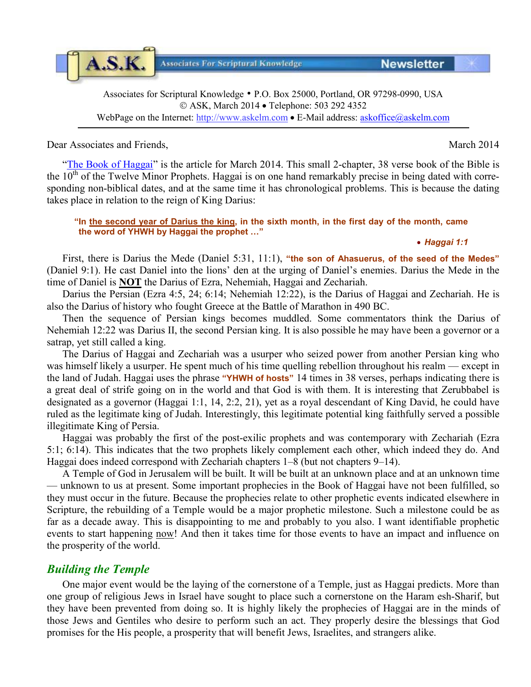Associates for Scriptural Knowledge • P.O. Box 25000, Portland, OR 97298-0990, USA ASK, March 2014 • Telephone: 503 292 4352 WebPage on the Internet: [http://www.askelm.com](http://www.askelm.com/) • E-Mail address: [askoffice@askelm.com](mailto:askoffice@askelm.com)

## Dear Associates and Friends, March 2014

A.S.K.

["The Book of Haggai"](http://askelm.com/prophecy/p140301.PDF) is the article for March 2014. This small 2-chapter, 38 verse book of the Bible is the  $10<sup>th</sup>$  of the Twelve Minor Prophets. Haggai is on one hand remarkably precise in being dated with corresponding non-biblical dates, and at the same time it has chronological problems. This is because the dating takes place in relation to the reign of King Darius:

#### **"In the second year of Darius the king, in the sixth month, in the first day of the month, came the word of YHWH by Haggai the prophet …"**

### • *Haggai 1:1*

First, there is Darius the Mede (Daniel 5:31, 11:1), **"the son of Ahasuerus, of the seed of the Medes"** (Daniel 9:1). He cast Daniel into the lions' den at the urging of Daniel's enemies. Darius the Mede in the time of Daniel is **NOT** the Darius of Ezra, Nehemiah, Haggai and Zechariah.

Darius the Persian (Ezra 4:5, 24; 6:14; Nehemiah 12:22), is the Darius of Haggai and Zechariah. He is also the Darius of history who fought Greece at the Battle of Marathon in 490 BC.

Then the sequence of Persian kings becomes muddled. Some commentators think the Darius of Nehemiah 12:22 was Darius II, the second Persian king. It is also possible he may have been a governor or a satrap, yet still called a king.

The Darius of Haggai and Zechariah was a usurper who seized power from another Persian king who was himself likely a usurper. He spent much of his time quelling rebellion throughout his realm — except in the land of Judah. Haggai uses the phrase **"YHWH of hosts"** 14 times in 38 verses, perhaps indicating there is a great deal of strife going on in the world and that God is with them. It is interesting that Zerubbabel is designated as a governor (Haggai 1:1, 14, 2:2, 21), yet as a royal descendant of King David, he could have ruled as the legitimate king of Judah. Interestingly, this legitimate potential king faithfully served a possible illegitimate King of Persia.

Haggai was probably the first of the post-exilic prophets and was contemporary with Zechariah (Ezra 5:1; 6:14). This indicates that the two prophets likely complement each other, which indeed they do. And Haggai does indeed correspond with Zechariah chapters 1–8 (but not chapters 9–14).

A Temple of God in Jerusalem will be built. It will be built at an unknown place and at an unknown time — unknown to us at present. Some important prophecies in the Book of Haggai have not been fulfilled, so they must occur in the future. Because the prophecies relate to other prophetic events indicated elsewhere in Scripture, the rebuilding of a Temple would be a major prophetic milestone. Such a milestone could be as far as a decade away. This is disappointing to me and probably to you also. I want identifiable prophetic events to start happening now! And then it takes time for those events to have an impact and influence on the prosperity of the world.

# *Building the Temple*

One major event would be the laying of the cornerstone of a Temple, just as Haggai predicts. More than one group of religious Jews in Israel have sought to place such a cornerstone on the Haram esh-Sharif, but they have been prevented from doing so. It is highly likely the prophecies of Haggai are in the minds of those Jews and Gentiles who desire to perform such an act. They properly desire the blessings that God promises for the His people, a prosperity that will benefit Jews, Israelites, and strangers alike.



**Associates For Scriptural Knowledge** 

**Newsletter**